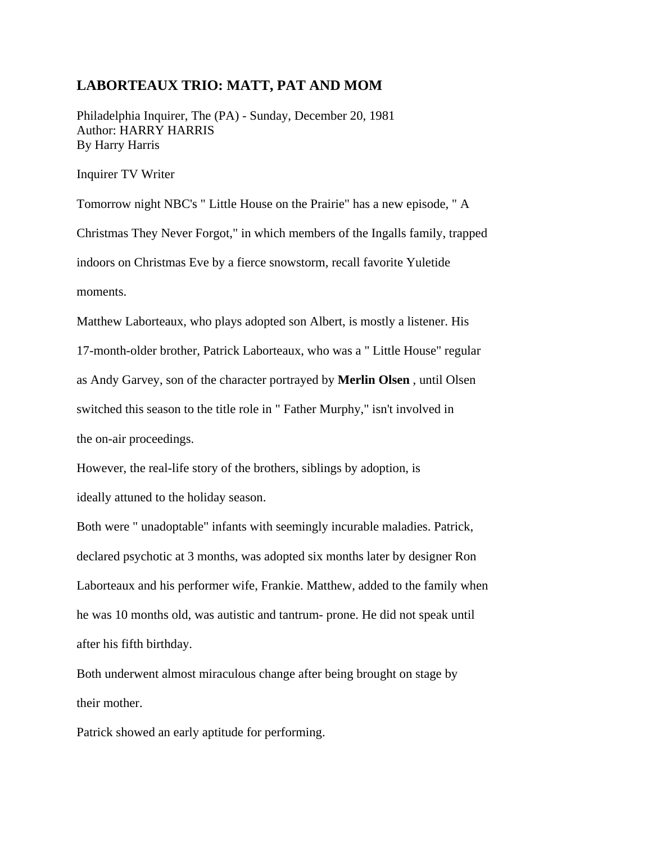## **LABORTEAUX TRIO: MATT, PAT AND MOM**

Philadelphia Inquirer, The (PA) - Sunday, December 20, 1981 Author: HARRY HARRIS By Harry Harris

Inquirer TV Writer

Tomorrow night NBC's " Little House on the Prairie" has a new episode, " A Christmas They Never Forgot," in which members of the Ingalls family, trapped indoors on Christmas Eve by a fierce snowstorm, recall favorite Yuletide moments.

Matthew Laborteaux, who plays adopted son Albert, is mostly a listener. His 17-month-older brother, Patrick Laborteaux, who was a " Little House" regular as Andy Garvey, son of the character portrayed by **Merlin Olsen** , until Olsen switched this season to the title role in " Father Murphy," isn't involved in the on-air proceedings.

However, the real-life story of the brothers, siblings by adoption, is ideally attuned to the holiday season.

Both were " unadoptable" infants with seemingly incurable maladies. Patrick, declared psychotic at 3 months, was adopted six months later by designer Ron Laborteaux and his performer wife, Frankie. Matthew, added to the family when he was 10 months old, was autistic and tantrum- prone. He did not speak until after his fifth birthday.

Both underwent almost miraculous change after being brought on stage by their mother.

Patrick showed an early aptitude for performing.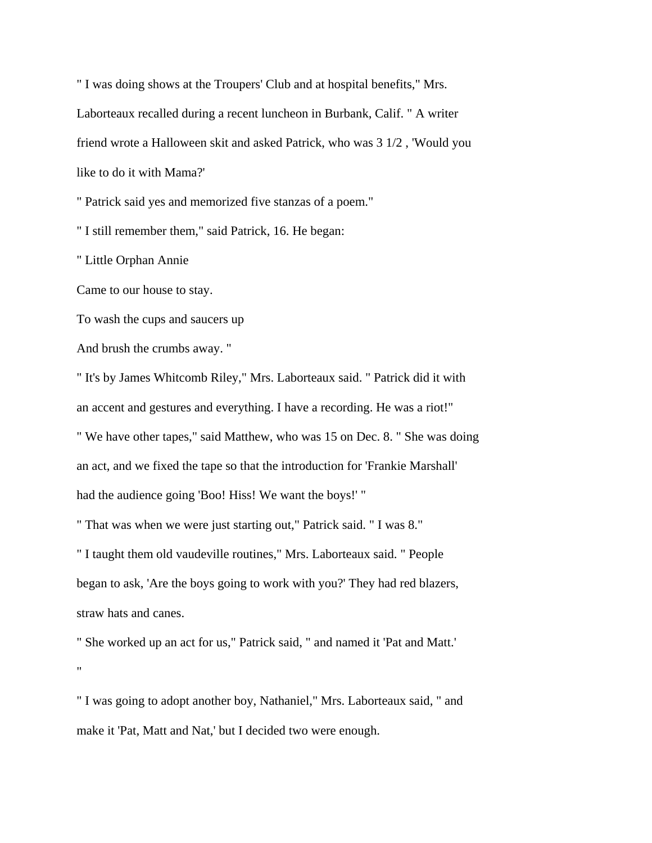" I was doing shows at the Troupers' Club and at hospital benefits," Mrs. Laborteaux recalled during a recent luncheon in Burbank, Calif. " A writer friend wrote a Halloween skit and asked Patrick, who was 3 1/2 , 'Would you like to do it with Mama?'

" Patrick said yes and memorized five stanzas of a poem."

" I still remember them," said Patrick, 16. He began:

" Little Orphan Annie

Came to our house to stay.

To wash the cups and saucers up

And brush the crumbs away. "

" It's by James Whitcomb Riley," Mrs. Laborteaux said. " Patrick did it with an accent and gestures and everything. I have a recording. He was a riot!" " We have other tapes," said Matthew, who was 15 on Dec. 8. " She was doing an act, and we fixed the tape so that the introduction for 'Frankie Marshall' had the audience going 'Boo! Hiss! We want the boys!' "

" That was when we were just starting out," Patrick said. " I was 8."

" I taught them old vaudeville routines," Mrs. Laborteaux said. " People began to ask, 'Are the boys going to work with you?' They had red blazers, straw hats and canes.

" She worked up an act for us," Patrick said, " and named it 'Pat and Matt.' "

" I was going to adopt another boy, Nathaniel," Mrs. Laborteaux said, " and make it 'Pat, Matt and Nat,' but I decided two were enough.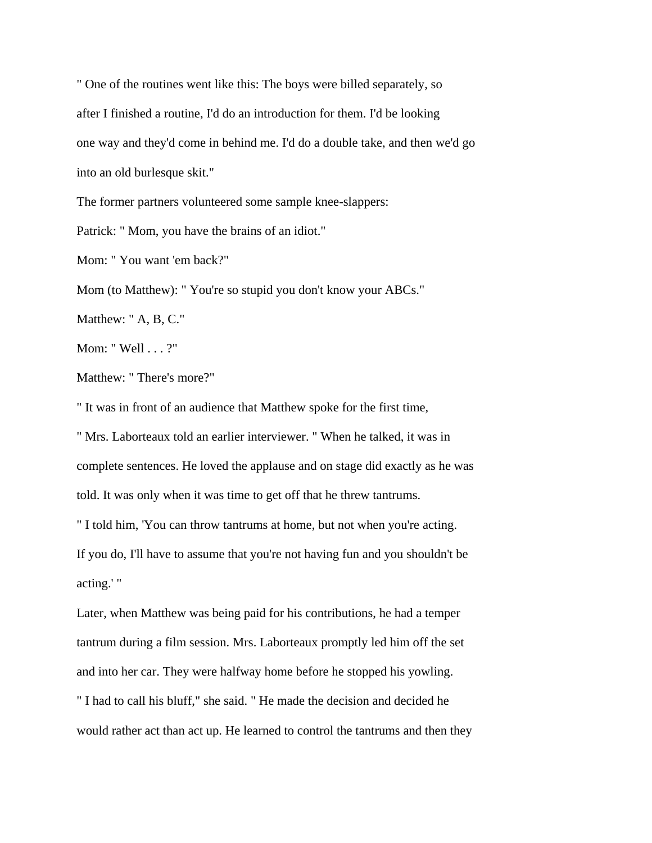" One of the routines went like this: The boys were billed separately, so after I finished a routine, I'd do an introduction for them. I'd be looking one way and they'd come in behind me. I'd do a double take, and then we'd go into an old burlesque skit."

The former partners volunteered some sample knee-slappers:

Patrick: " Mom, you have the brains of an idiot."

Mom: " You want 'em back?"

Mom (to Matthew): " You're so stupid you don't know your ABCs."

Matthew: " A, B, C."

Mom: " Well . . . ?"

Matthew: " There's more?"

" It was in front of an audience that Matthew spoke for the first time,

" Mrs. Laborteaux told an earlier interviewer. " When he talked, it was in complete sentences. He loved the applause and on stage did exactly as he was told. It was only when it was time to get off that he threw tantrums.

" I told him, 'You can throw tantrums at home, but not when you're acting.

If you do, I'll have to assume that you're not having fun and you shouldn't be acting.' "

Later, when Matthew was being paid for his contributions, he had a temper tantrum during a film session. Mrs. Laborteaux promptly led him off the set and into her car. They were halfway home before he stopped his yowling. " I had to call his bluff," she said. " He made the decision and decided he would rather act than act up. He learned to control the tantrums and then they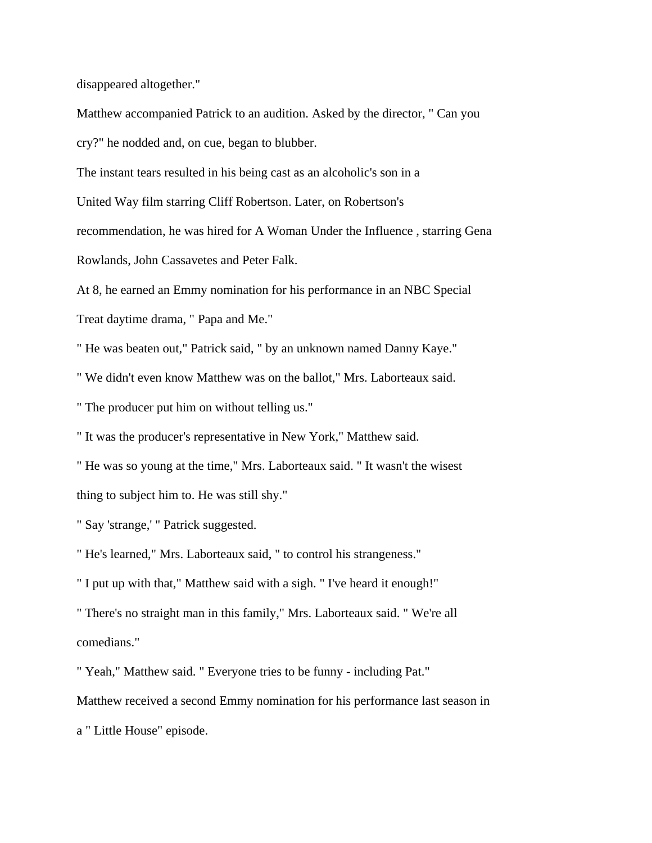disappeared altogether."

Matthew accompanied Patrick to an audition. Asked by the director, " Can you cry?" he nodded and, on cue, began to blubber.

The instant tears resulted in his being cast as an alcoholic's son in a

United Way film starring Cliff Robertson. Later, on Robertson's

recommendation, he was hired for A Woman Under the Influence , starring Gena

Rowlands, John Cassavetes and Peter Falk.

At 8, he earned an Emmy nomination for his performance in an NBC Special

Treat daytime drama, " Papa and Me."

" He was beaten out," Patrick said, " by an unknown named Danny Kaye."

" We didn't even know Matthew was on the ballot," Mrs. Laborteaux said.

" The producer put him on without telling us."

" It was the producer's representative in New York," Matthew said.

" He was so young at the time," Mrs. Laborteaux said. " It wasn't the wisest thing to subject him to. He was still shy."

" Say 'strange,' " Patrick suggested.

" He's learned," Mrs. Laborteaux said, " to control his strangeness."

" I put up with that," Matthew said with a sigh. " I've heard it enough!"

" There's no straight man in this family," Mrs. Laborteaux said. " We're all comedians."

" Yeah," Matthew said. " Everyone tries to be funny - including Pat."

Matthew received a second Emmy nomination for his performance last season in

a " Little House" episode.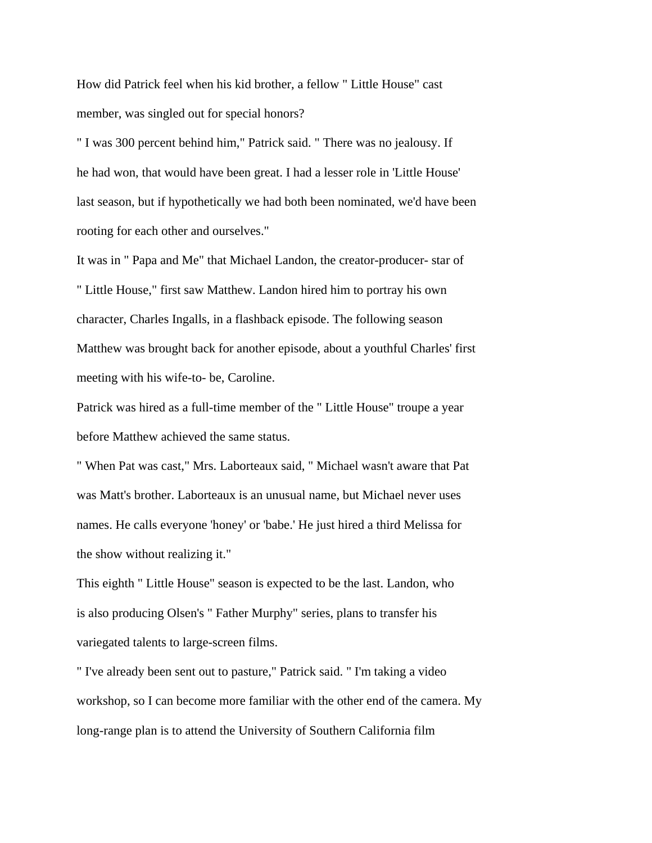How did Patrick feel when his kid brother, a fellow " Little House" cast member, was singled out for special honors?

" I was 300 percent behind him," Patrick said. " There was no jealousy. If he had won, that would have been great. I had a lesser role in 'Little House' last season, but if hypothetically we had both been nominated, we'd have been rooting for each other and ourselves."

It was in " Papa and Me" that Michael Landon, the creator-producer- star of " Little House," first saw Matthew. Landon hired him to portray his own character, Charles Ingalls, in a flashback episode. The following season Matthew was brought back for another episode, about a youthful Charles' first meeting with his wife-to- be, Caroline.

Patrick was hired as a full-time member of the " Little House" troupe a year before Matthew achieved the same status.

" When Pat was cast," Mrs. Laborteaux said, " Michael wasn't aware that Pat was Matt's brother. Laborteaux is an unusual name, but Michael never uses names. He calls everyone 'honey' or 'babe.' He just hired a third Melissa for the show without realizing it."

This eighth " Little House" season is expected to be the last. Landon, who is also producing Olsen's " Father Murphy" series, plans to transfer his variegated talents to large-screen films.

" I've already been sent out to pasture," Patrick said. " I'm taking a video workshop, so I can become more familiar with the other end of the camera. My long-range plan is to attend the University of Southern California film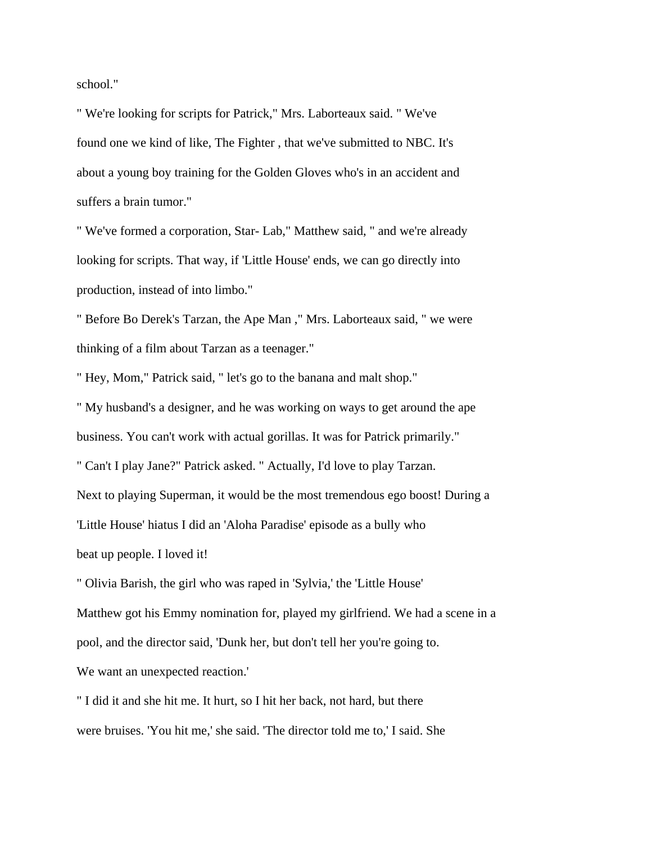school."

" We're looking for scripts for Patrick," Mrs. Laborteaux said. " We've found one we kind of like, The Fighter , that we've submitted to NBC. It's about a young boy training for the Golden Gloves who's in an accident and suffers a brain tumor."

" We've formed a corporation, Star- Lab," Matthew said, " and we're already looking for scripts. That way, if 'Little House' ends, we can go directly into production, instead of into limbo."

" Before Bo Derek's Tarzan, the Ape Man ," Mrs. Laborteaux said, " we were thinking of a film about Tarzan as a teenager."

" Hey, Mom," Patrick said, " let's go to the banana and malt shop."

" My husband's a designer, and he was working on ways to get around the ape business. You can't work with actual gorillas. It was for Patrick primarily." " Can't I play Jane?" Patrick asked. " Actually, I'd love to play Tarzan. Next to playing Superman, it would be the most tremendous ego boost! During a 'Little House' hiatus I did an 'Aloha Paradise' episode as a bully who

beat up people. I loved it!

" Olivia Barish, the girl who was raped in 'Sylvia,' the 'Little House' Matthew got his Emmy nomination for, played my girlfriend. We had a scene in a pool, and the director said, 'Dunk her, but don't tell her you're going to. We want an unexpected reaction.'

" I did it and she hit me. It hurt, so I hit her back, not hard, but there were bruises. 'You hit me,' she said. 'The director told me to,' I said. She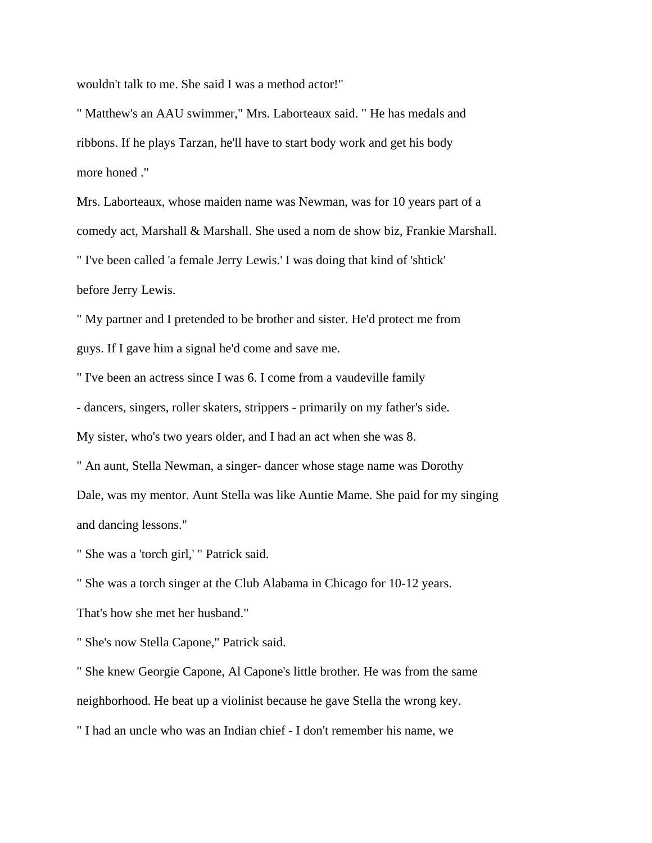wouldn't talk to me. She said I was a method actor!"

" Matthew's an AAU swimmer," Mrs. Laborteaux said. " He has medals and ribbons. If he plays Tarzan, he'll have to start body work and get his body more honed ."

Mrs. Laborteaux, whose maiden name was Newman, was for 10 years part of a comedy act, Marshall & Marshall. She used a nom de show biz, Frankie Marshall. " I've been called 'a female Jerry Lewis.' I was doing that kind of 'shtick' before Jerry Lewis.

" My partner and I pretended to be brother and sister. He'd protect me from guys. If I gave him a signal he'd come and save me.

" I've been an actress since I was 6. I come from a vaudeville family - dancers, singers, roller skaters, strippers - primarily on my father's side. My sister, who's two years older, and I had an act when she was 8.

" An aunt, Stella Newman, a singer- dancer whose stage name was Dorothy Dale, was my mentor. Aunt Stella was like Auntie Mame. She paid for my singing and dancing lessons."

" She was a 'torch girl,' " Patrick said.

" She was a torch singer at the Club Alabama in Chicago for 10-12 years.

That's how she met her husband."

" She's now Stella Capone," Patrick said.

" She knew Georgie Capone, Al Capone's little brother. He was from the same neighborhood. He beat up a violinist because he gave Stella the wrong key.

" I had an uncle who was an Indian chief - I don't remember his name, we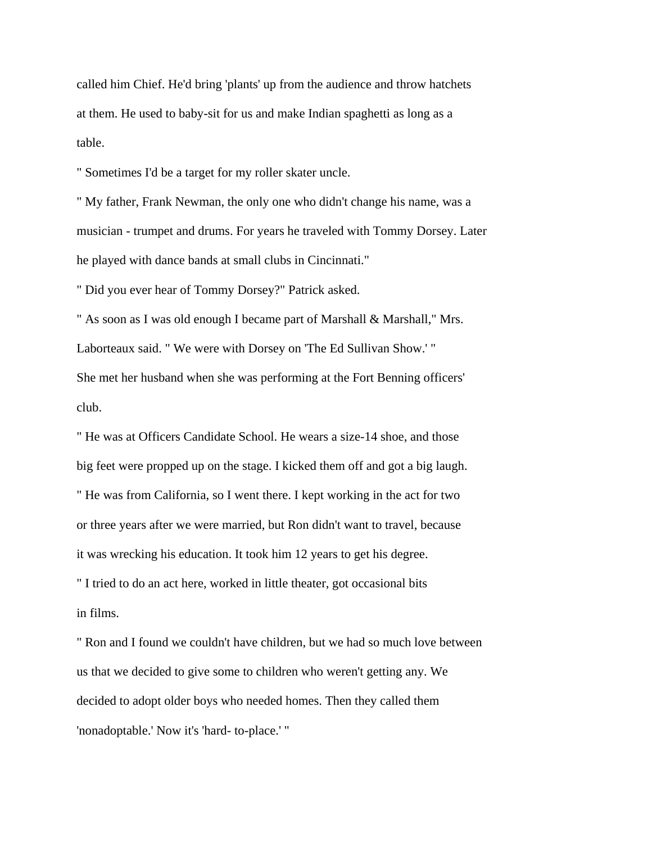called him Chief. He'd bring 'plants' up from the audience and throw hatchets at them. He used to baby-sit for us and make Indian spaghetti as long as a table.

" Sometimes I'd be a target for my roller skater uncle.

" My father, Frank Newman, the only one who didn't change his name, was a musician - trumpet and drums. For years he traveled with Tommy Dorsey. Later he played with dance bands at small clubs in Cincinnati."

" Did you ever hear of Tommy Dorsey?" Patrick asked.

" As soon as I was old enough I became part of Marshall & Marshall," Mrs. Laborteaux said. " We were with Dorsey on 'The Ed Sullivan Show.' " She met her husband when she was performing at the Fort Benning officers' club.

" He was at Officers Candidate School. He wears a size-14 shoe, and those big feet were propped up on the stage. I kicked them off and got a big laugh. " He was from California, so I went there. I kept working in the act for two or three years after we were married, but Ron didn't want to travel, because it was wrecking his education. It took him 12 years to get his degree. " I tried to do an act here, worked in little theater, got occasional bits in films.

" Ron and I found we couldn't have children, but we had so much love between us that we decided to give some to children who weren't getting any. We decided to adopt older boys who needed homes. Then they called them 'nonadoptable.' Now it's 'hard- to-place.' "